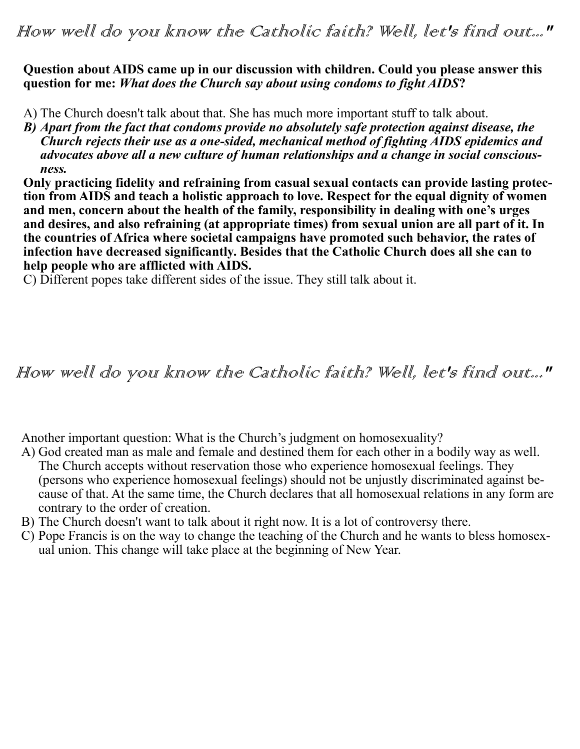#### **Question about AIDS came up in our discussion with children. Could you please answer this question for me:** *What does the Church say about using condoms to fight AIDS***?**

- A) The Church doesn't talk about that. She has much more important stuff to talk about.
- *B) Apart from the fact that condoms provide no absolutely safe protection against disease, the Church rejects their use as a one-sided, mechanical method of fighting AIDS epidemics and advocates above all a new culture of human relationships and a change in social consciousness.*

**Only practicing fidelity and refraining from casual sexual contacts can provide lasting protection from AIDS and teach a holistic approach to love. Respect for the equal dignity of women and men, concern about the health of the family, responsibility in dealing with one's urges and desires, and also refraining (at appropriate times) from sexual union are all part of it. In the countries of Africa where societal campaigns have promoted such behavior, the rates of infection have decreased significantly. Besides that the Catholic Church does all she can to help people who are afflicted with AIDS.**

C) Different popes take different sides of the issue. They still talk about it.

# How well do you know the Catholic faith? Well, let's find out..."

Another important question: What is the Church's judgment on homosexuality?

- A) God created man as male and female and destined them for each other in a bodily way as well. The Church accepts without reservation those who experience homosexual feelings. They (persons who experience homosexual feelings) should not be unjustly discriminated against because of that. At the same time, the Church declares that all homosexual relations in any form are contrary to the order of creation.
- B) The Church doesn't want to talk about it right now. It is a lot of controversy there.
- C) Pope Francis is on the way to change the teaching of the Church and he wants to bless homosexual union. This change will take place at the beginning of New Year.